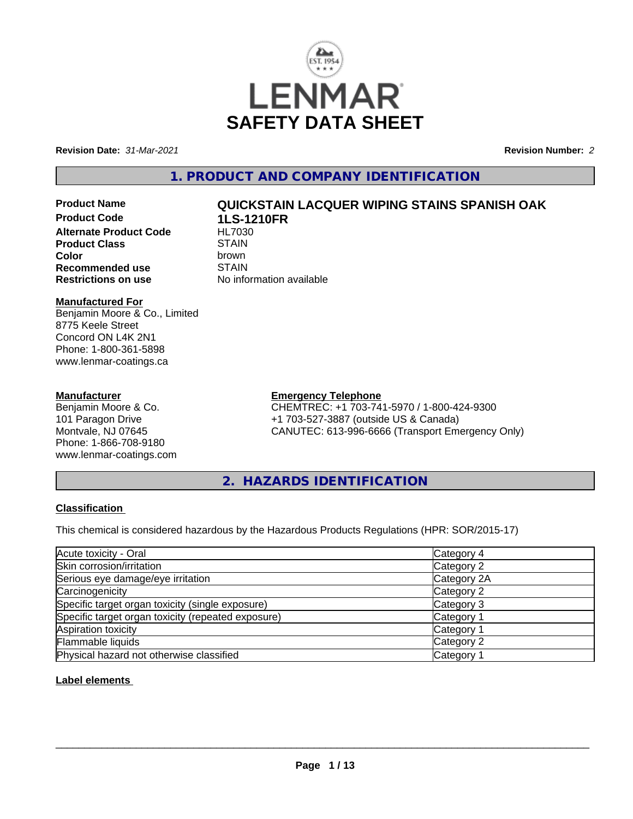

**Revision Date:** *31-Mar-2021* **Revision Number:** *2*

### **1. PRODUCT AND COMPANY IDENTIFICATION**

- 
- **Product Code 1LS-1210FR Alternate Product Code Product Class** STAIN<br> **Color** brown **Recommended use** STAIN<br> **Restrictions on use** No info

# **Product Name QUICKSTAIN LACQUER WIPING STAINS SPANISH OAK**

**Color** brown **No information available** 

#### **Manufactured For**

Benjamin Moore & Co., Limited 8775 Keele Street Concord ON L4K 2N1 Phone: 1-800-361-5898 www.lenmar-coatings.ca

#### **Manufacturer**

Benjamin Moore & Co. 101 Paragon Drive Montvale, NJ 07645 Phone: 1-866-708-9180 www.lenmar-coatings.com

### **Emergency Telephone**

CHEMTREC: +1 703-741-5970 / 1-800-424-9300 +1 703-527-3887 (outside US & Canada) CANUTEC: 613-996-6666 (Transport Emergency Only)

**2. HAZARDS IDENTIFICATION**

#### **Classification**

This chemical is considered hazardous by the Hazardous Products Regulations (HPR: SOR/2015-17)

| Acute toxicity - Oral                              | Category 4            |  |
|----------------------------------------------------|-----------------------|--|
| Skin corrosion/irritation                          | Category 2            |  |
| Serious eye damage/eye irritation                  | Category 2A           |  |
| Carcinogenicity                                    | Category 2            |  |
| Specific target organ toxicity (single exposure)   | Category 3            |  |
| Specific target organ toxicity (repeated exposure) | Category 1            |  |
| Aspiration toxicity                                | Category '            |  |
| Flammable liquids                                  | Category 2            |  |
| Physical hazard not otherwise classified           | Category <sup>2</sup> |  |

#### **Label elements**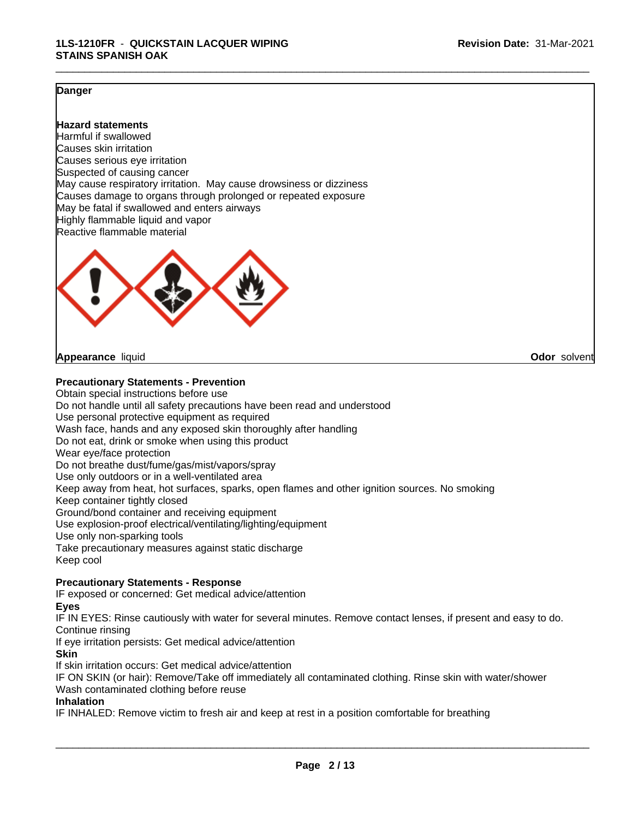#### **Danger**

#### **Hazard statements**

Harmful if swallowed Causes skin irritation Causes serious eye irritation Suspected of causing cancer May cause respiratory irritation. May cause drowsiness or dizziness Causes damage to organs through prolonged or repeated exposure May be fatal if swallowed and enters airways Highly flammable liquid and vapor Reactive flammable material



#### **Appearance** liquid **Odor** solvent

#### **Precautionary Statements - Prevention**

Obtain special instructions before use Do not handle until all safety precautions have been read and understood Use personal protective equipment as required Wash face, hands and any exposed skin thoroughly after handling Do not eat, drink or smoke when using this product Wear eye/face protection Do not breathe dust/fume/gas/mist/vapors/spray Use only outdoors or in a well-ventilated area Keep away from heat, hot surfaces, sparks, open flames and other ignition sources. No smoking Keep container tightly closed Ground/bond container and receiving equipment Use explosion-proof electrical/ventilating/lighting/equipment Use only non-sparking tools Take precautionary measures against static discharge Keep cool

#### **Precautionary Statements - Response**

IF exposed or concerned: Get medical advice/attention

#### **Eyes**

IF IN EYES: Rinse cautiously with water for several minutes. Remove contact lenses, if present and easy to do. Continue rinsing

If eye irritation persists: Get medical advice/attention

#### **Skin**

If skin irritation occurs: Get medical advice/attention

IF ON SKIN (or hair): Remove/Take off immediately all contaminated clothing. Rinse skin with water/shower Wash contaminated clothing before reuse

#### **Inhalation**

IF INHALED: Remove victim to fresh air and keep at rest in a position comfortable for breathing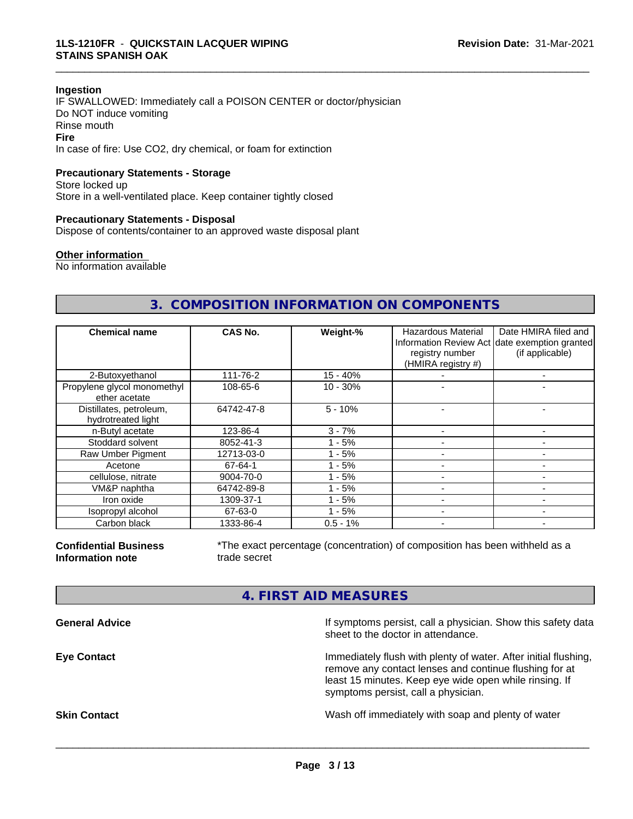#### **Ingestion**

IF SWALLOWED: Immediately call a POISON CENTER or doctor/physician Do NOT induce vomiting Rinse mouth **Fire** In case of fire: Use CO2, dry chemical, or foam for extinction

#### **Precautionary Statements - Storage**

Store locked up Store in a well-ventilated place. Keep container tightly closed

#### **Precautionary Statements - Disposal**

Dispose of contents/container to an approved waste disposal plant

#### **Other information**

No information available

#### **3. COMPOSITION INFORMATION ON COMPONENTS**

\_\_\_\_\_\_\_\_\_\_\_\_\_\_\_\_\_\_\_\_\_\_\_\_\_\_\_\_\_\_\_\_\_\_\_\_\_\_\_\_\_\_\_\_\_\_\_\_\_\_\_\_\_\_\_\_\_\_\_\_\_\_\_\_\_\_\_\_\_\_\_\_\_\_\_\_\_\_\_\_\_\_\_\_\_\_\_\_\_\_\_\_\_

| <b>Chemical name</b>                          | CAS No.    | Weight-%   | Hazardous Material<br>registry number<br>(HMIRA registry #) | Date HMIRA filed and<br>Information Review Act date exemption granted<br>(if applicable) |
|-----------------------------------------------|------------|------------|-------------------------------------------------------------|------------------------------------------------------------------------------------------|
| 2-Butoxyethanol                               | 111-76-2   | $15 - 40%$ |                                                             |                                                                                          |
| Propylene glycol monomethyl<br>ether acetate  | 108-65-6   | $10 - 30%$ |                                                             |                                                                                          |
| Distillates, petroleum,<br>hydrotreated light | 64742-47-8 | $5 - 10%$  |                                                             |                                                                                          |
| n-Butyl acetate                               | 123-86-4   | $3 - 7%$   |                                                             |                                                                                          |
| Stoddard solvent                              | 8052-41-3  | - 5%       |                                                             |                                                                                          |
| Raw Umber Pigment                             | 12713-03-0 | - 5%       |                                                             |                                                                                          |
| Acetone                                       | 67-64-1    | - 5%       |                                                             |                                                                                          |
| cellulose, nitrate                            | 9004-70-0  | - 5%       |                                                             |                                                                                          |
| VM&P naphtha                                  | 64742-89-8 | - 5%       |                                                             |                                                                                          |
| Iron oxide                                    | 1309-37-1  | - 5%       |                                                             |                                                                                          |
| Isopropyl alcohol                             | 67-63-0    | - 5%       |                                                             |                                                                                          |
| Carbon black                                  | 1333-86-4  | $0.5 - 1%$ |                                                             |                                                                                          |

**Confidential Business Information note**

\*The exact percentage (concentration) of composition has been withheld as a trade secret

#### **4. FIRST AID MEASURES**

| <b>General Advice</b> | If symptoms persist, call a physician. Show this safety data<br>sheet to the doctor in attendance.                                                                                                                         |
|-----------------------|----------------------------------------------------------------------------------------------------------------------------------------------------------------------------------------------------------------------------|
| <b>Eye Contact</b>    | Immediately flush with plenty of water. After initial flushing,<br>remove any contact lenses and continue flushing for at<br>least 15 minutes. Keep eye wide open while rinsing. If<br>symptoms persist, call a physician. |
| <b>Skin Contact</b>   | Wash off immediately with soap and plenty of water                                                                                                                                                                         |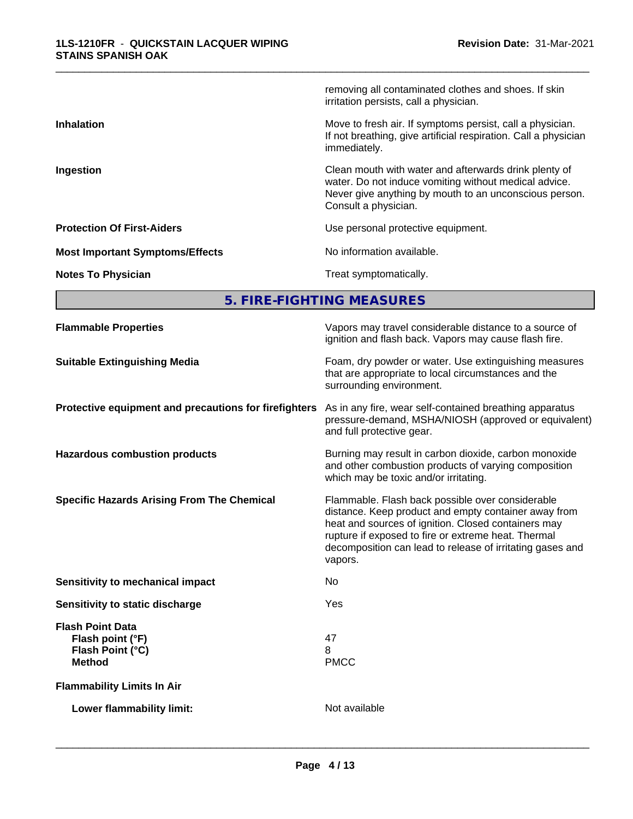|                                        | removing all contaminated clothes and shoes. If skin<br>irritation persists, call a physician.                                                                                                   |
|----------------------------------------|--------------------------------------------------------------------------------------------------------------------------------------------------------------------------------------------------|
| <b>Inhalation</b>                      | Move to fresh air. If symptoms persist, call a physician.<br>If not breathing, give artificial respiration. Call a physician<br>immediately.                                                     |
| Ingestion                              | Clean mouth with water and afterwards drink plenty of<br>water. Do not induce vomiting without medical advice.<br>Never give anything by mouth to an unconscious person.<br>Consult a physician. |
| <b>Protection Of First-Aiders</b>      | Use personal protective equipment.                                                                                                                                                               |
| <b>Most Important Symptoms/Effects</b> | No information available.                                                                                                                                                                        |
| <b>Notes To Physician</b>              | Treat symptomatically.                                                                                                                                                                           |

**5. FIRE-FIGHTING MEASURES**

| <b>Flammable Properties</b>                                                      | Vapors may travel considerable distance to a source of<br>ignition and flash back. Vapors may cause flash fire.                                                                                                                                                                                |
|----------------------------------------------------------------------------------|------------------------------------------------------------------------------------------------------------------------------------------------------------------------------------------------------------------------------------------------------------------------------------------------|
| <b>Suitable Extinguishing Media</b>                                              | Foam, dry powder or water. Use extinguishing measures<br>that are appropriate to local circumstances and the<br>surrounding environment.                                                                                                                                                       |
| Protective equipment and precautions for firefighters                            | As in any fire, wear self-contained breathing apparatus<br>pressure-demand, MSHA/NIOSH (approved or equivalent)<br>and full protective gear.                                                                                                                                                   |
| <b>Hazardous combustion products</b>                                             | Burning may result in carbon dioxide, carbon monoxide<br>and other combustion products of varying composition<br>which may be toxic and/or irritating.                                                                                                                                         |
| <b>Specific Hazards Arising From The Chemical</b>                                | Flammable. Flash back possible over considerable<br>distance. Keep product and empty container away from<br>heat and sources of ignition. Closed containers may<br>rupture if exposed to fire or extreme heat. Thermal<br>decomposition can lead to release of irritating gases and<br>vapors. |
| <b>Sensitivity to mechanical impact</b>                                          | No                                                                                                                                                                                                                                                                                             |
| Sensitivity to static discharge                                                  | Yes                                                                                                                                                                                                                                                                                            |
| <b>Flash Point Data</b><br>Flash point (°F)<br>Flash Point (°C)<br><b>Method</b> | 47<br>8<br><b>PMCC</b>                                                                                                                                                                                                                                                                         |
| <b>Flammability Limits In Air</b>                                                |                                                                                                                                                                                                                                                                                                |
| Lower flammability limit:                                                        | Not available                                                                                                                                                                                                                                                                                  |
|                                                                                  |                                                                                                                                                                                                                                                                                                |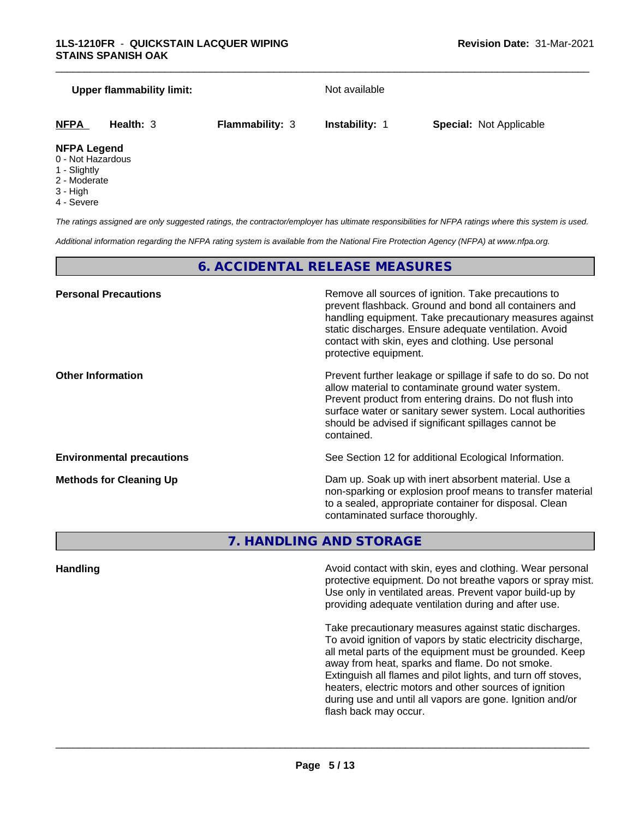#### **Upper flammability limit:** Not available

\_\_\_\_\_\_\_\_\_\_\_\_\_\_\_\_\_\_\_\_\_\_\_\_\_\_\_\_\_\_\_\_\_\_\_\_\_\_\_\_\_\_\_\_\_\_\_\_\_\_\_\_\_\_\_\_\_\_\_\_\_\_\_\_\_\_\_\_\_\_\_\_\_\_\_\_\_\_\_\_\_\_\_\_\_\_\_\_\_\_\_\_\_

```
NFPA Health: 3 Flammability: 3 Instability: 1 Special: Not Applicable
```
#### **NFPA Legend**

- 0 Not Hazardous
- 1 Slightly
- 2 Moderate
- 3 High
- 4 Severe

*The ratings assigned are only suggested ratings, the contractor/employer has ultimate responsibilities for NFPA ratings where this system is used.*

*Additional information regarding the NFPA rating system is available from the National Fire Protection Agency (NFPA) at www.nfpa.org.*

#### **6. ACCIDENTAL RELEASE MEASURES**

| <b>Personal Precautions</b>      | Remove all sources of ignition. Take precautions to<br>prevent flashback. Ground and bond all containers and<br>handling equipment. Take precautionary measures against<br>static discharges. Ensure adequate ventilation. Avoid<br>contact with skin, eyes and clothing. Use personal<br>protective equipment.  |
|----------------------------------|------------------------------------------------------------------------------------------------------------------------------------------------------------------------------------------------------------------------------------------------------------------------------------------------------------------|
| <b>Other Information</b>         | Prevent further leakage or spillage if safe to do so. Do not<br>allow material to contaminate ground water system.<br>Prevent product from entering drains. Do not flush into<br>surface water or sanitary sewer system. Local authorities<br>should be advised if significant spillages cannot be<br>contained. |
| <b>Environmental precautions</b> | See Section 12 for additional Ecological Information.                                                                                                                                                                                                                                                            |
| <b>Methods for Cleaning Up</b>   | Dam up. Soak up with inert absorbent material. Use a<br>non-sparking or explosion proof means to transfer material<br>to a sealed, appropriate container for disposal. Clean<br>contaminated surface thoroughly.                                                                                                 |

### **7. HANDLING AND STORAGE**

**Handling Handling Avoid contact with skin, eyes and clothing. Wear personal** protective equipment. Do not breathe vapors or spray mist. Use only in ventilated areas. Prevent vapor build-up by providing adequate ventilation during and after use.

> Take precautionary measures against static discharges. To avoid ignition of vapors by static electricity discharge, all metal parts of the equipment must be grounded. Keep away from heat, sparks and flame. Do not smoke. Extinguish all flames and pilot lights, and turn off stoves, heaters, electric motors and other sources of ignition during use and until all vapors are gone. Ignition and/or flash back may occur.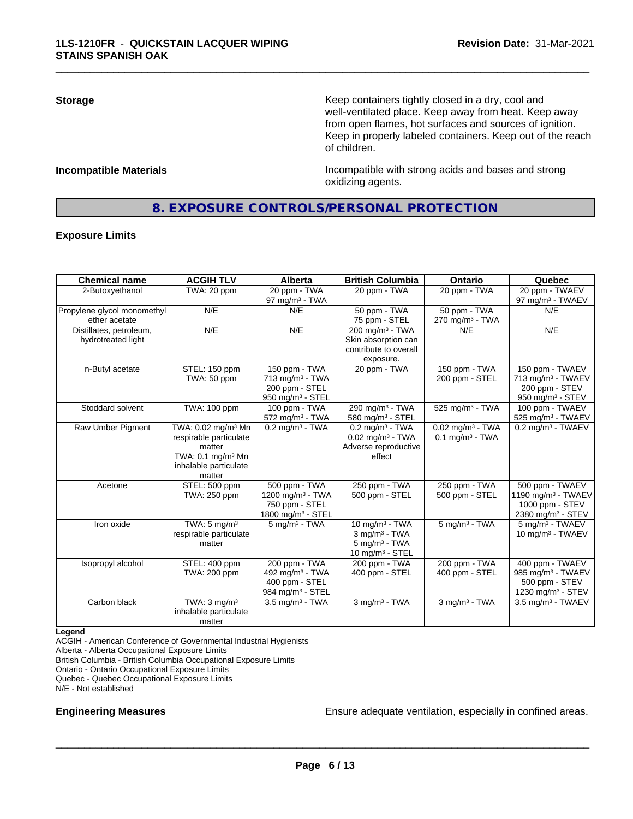**Storage Keep containers tightly closed in a dry, cool and get a dry and structure in a dry and structure in a dry and structure in a dry and structure in a dry and structure in a dry and structure in a dry and structure** well-ventilated place. Keep away from heat. Keep away from open flames, hot surfaces and sources of ignition. Keep in properly labeled containers. Keep out of the reach of children.

**Incompatible Materials Incompatible with strong acids and bases and strong** oxidizing agents.

#### **8. EXPOSURE CONTROLS/PERSONAL PROTECTION**

\_\_\_\_\_\_\_\_\_\_\_\_\_\_\_\_\_\_\_\_\_\_\_\_\_\_\_\_\_\_\_\_\_\_\_\_\_\_\_\_\_\_\_\_\_\_\_\_\_\_\_\_\_\_\_\_\_\_\_\_\_\_\_\_\_\_\_\_\_\_\_\_\_\_\_\_\_\_\_\_\_\_\_\_\_\_\_\_\_\_\_\_\_

#### **Exposure Limits**

| <b>Chemical name</b>                          | <b>ACGIH TLV</b>                                                                                                                                 | Alberta                                                                                          | <b>British Columbia</b>                                                                           | Ontario                                                         | Quebec                                                                                       |
|-----------------------------------------------|--------------------------------------------------------------------------------------------------------------------------------------------------|--------------------------------------------------------------------------------------------------|---------------------------------------------------------------------------------------------------|-----------------------------------------------------------------|----------------------------------------------------------------------------------------------|
| 2-Butoxyethanol                               | TWA: 20 ppm                                                                                                                                      | 20 ppm - TWA<br>97 mg/m $3$ - TWA                                                                | 20 ppm - TWA                                                                                      | 20 ppm - TWA                                                    | 20 ppm - TWAEV<br>97 mg/m <sup>3</sup> - TWAEV                                               |
| Propylene glycol monomethyl<br>ether acetate  | N/E                                                                                                                                              | N/E                                                                                              | 50 ppm - TWA<br>75 ppm - STEL                                                                     | 50 ppm - TWA<br>$270$ mg/m <sup>3</sup> - TWA                   | N/E                                                                                          |
| Distillates, petroleum,<br>hydrotreated light | N/E                                                                                                                                              | N/E                                                                                              | 200 mg/m <sup>3</sup> - TWA<br>Skin absorption can<br>contribute to overall<br>exposure.          | N/E                                                             | N/E                                                                                          |
| n-Butyl acetate                               | STEL: 150 ppm<br>TWA: 50 ppm                                                                                                                     | 150 ppm - TWA<br>$713$ mg/m <sup>3</sup> - TWA<br>200 ppm - STEL<br>950 mg/m <sup>3</sup> - STEL | 20 ppm - TWA                                                                                      | 150 ppm - $TWA$<br>200 ppm - STEL                               | 150 ppm - TWAEV<br>713 mg/m <sup>3</sup> - TWAEV<br>200 ppm - STEV<br>950 mg/m $3 -$ STEV    |
| Stoddard solvent                              | TWA: 100 ppm                                                                                                                                     | 100 ppm - TWA<br>572 mg/m <sup>3</sup> - TWA                                                     | 290 $mg/m3$ - TWA<br>580 mg/m <sup>3</sup> - STEL                                                 | $525 \overline{\mathrm{mg/m^3}}$ - TWA                          | 100 ppm - TWAEV<br>525 mg/m <sup>3</sup> - TWAEV                                             |
| Raw Umber Pigment                             | TWA: 0.02 mg/m <sup>3</sup> Mn<br>respirable particulate<br>matter<br>TWA: $0.1 \text{ mg/m}$ <sup>3</sup> Mn<br>inhalable particulate<br>matter | $0.2$ mg/m <sup>3</sup> - TWA                                                                    | $0.2$ mg/m <sup>3</sup> - TWA<br>$0.02$ mg/m <sup>3</sup> - TWA<br>Adverse reproductive<br>effect | $0.02$ mg/m <sup>3</sup> - TWA<br>$0.1$ mg/m <sup>3</sup> - TWA | $0.2$ mg/m <sup>3</sup> - TWAEV                                                              |
| Acetone                                       | STEL: 500 ppm<br>TWA: 250 ppm                                                                                                                    | 500 ppm - TWA<br>1200 mg/m <sup>3</sup> - TWA<br>750 ppm - STEL<br>1800 mg/m <sup>3</sup> - STEL | 250 ppm - TWA<br>500 ppm - STEL                                                                   | 250 ppm - TWA<br>500 ppm - STEL                                 | 500 ppm - TWAEV<br>1190 mg/m $3$ - TWAEV<br>1000 ppm - STEV<br>2380 mg/m <sup>3</sup> - STEV |
| Iron oxide                                    | TWA: $5 \text{ mg/m}^3$<br>respirable particulate<br>matter                                                                                      | $5 \text{ mg/m}^3$ - TWA                                                                         | 10 mg/m $3 - TWA$<br>$3$ mg/m $3$ - TWA<br>$5 \text{ mg/m}^3$ - TWA<br>10 mg/m $3 -$ STEL         | $5$ mg/m <sup>3</sup> - TWA                                     | 5 mg/m <sup>3</sup> - TWAEV<br>10 mg/m $3$ - TWAEV                                           |
| Isopropyl alcohol                             | STEL: 400 ppm<br>TWA: 200 ppm                                                                                                                    | 200 ppm - TWA<br>492 mg/m <sup>3</sup> - TWA<br>400 ppm - STEL<br>984 mg/m <sup>3</sup> - STEL   | 200 ppm - TWA<br>400 ppm - STEL                                                                   | 200 ppm - TWA<br>400 ppm - STEL                                 | 400 ppm - TWAEV<br>985 mg/m <sup>3</sup> - TWAEV<br>500 ppm - STEV<br>1230 mg/m $3 -$ STEV   |
| Carbon black                                  | TWA: $3 \text{ mg/m}^3$<br>inhalable particulate<br>matter                                                                                       | $3.5 \text{ mg/m}^3$ - TWA                                                                       | $3$ mg/m $3$ - TWA                                                                                | $3$ mg/m $3$ - TWA                                              | $3.5$ mg/m <sup>3</sup> - TWAEV                                                              |

**Legend**

ACGIH - American Conference of Governmental Industrial Hygienists

Alberta - Alberta Occupational Exposure Limits

British Columbia - British Columbia Occupational Exposure Limits

Ontario - Ontario Occupational Exposure Limits

Quebec - Quebec Occupational Exposure Limits

N/E - Not established

**Engineering Measures Ensure adequate ventilation, especially in confined areas.**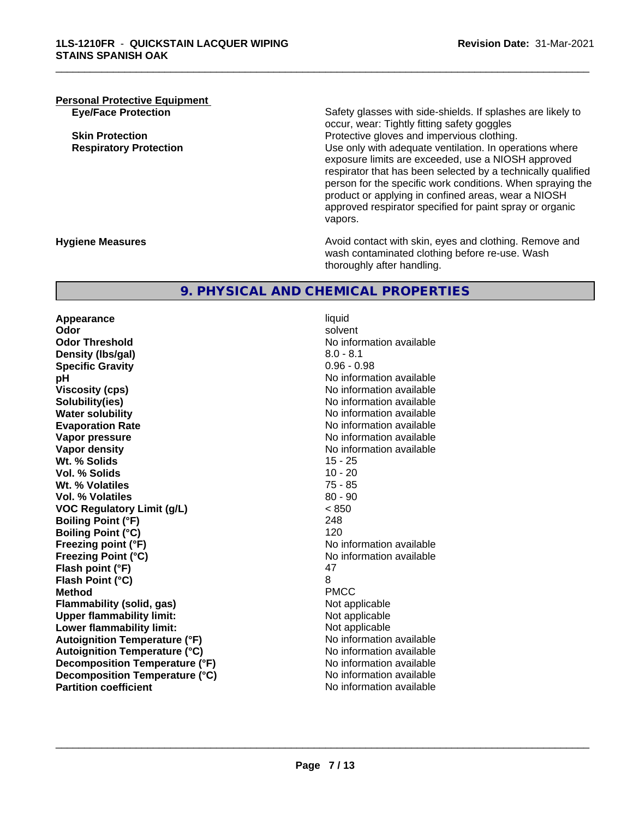## **Personal Protective Equipment**

**Eye/Face Protection** Safety glasses with side-shields. If splashes are likely to occur, wear: Tightly fitting safety goggles **Skin Protection Protection Protective gloves and impervious clothing. Respiratory Protection Network 1** and the Use only with adequate ventilation. In operations where exposure limits are exceeded, use a NIOSH approved respirator that has been selected by a technically qualified person for the specific work conditions. When spraying the product or applying in confined areas, wear a NIOSH approved respirator specified for paint spray or organic vapors.

**Hygiene Measures Avoid contact with skin, eyes and clothing. Remove and Avoid contact with skin, eyes and clothing. Remove and Avoid contact with skin, eyes and clothing. Remove and** wash contaminated clothing before re-use. Wash thoroughly after handling.

#### **9. PHYSICAL AND CHEMICAL PROPERTIES**

**Appearance** liquid **Odor** solvent **Odor Threshold**<br> **Density (Ibs/gal)**<br> **Density (Ibs/gal)**<br> **No information available**<br>  $8.0 - 8.1$ **Density (lbs/gal)** 8.0 - 8.1<br> **Specific Gravity** 8.0 - 8.1 **Specific Gravity pH** No information available **Viscosity (cps)** No information available in the Viscosity (cps) **Solubility(ies)** No information available **Water solubility** No information available **Evaporation Rate No information available No information available Vapor pressure**<br> **Vapor density**<br> **Vapor density**<br> **Vapor density**<br> **Vapor density Wt. % Solids** 15 - 25 **Vol. % Solids** 10 - 20 **Wt. % Volatiles Vol. % Volatiles** 80 - 90 **VOC Regulatory Limit (g/L)** < 850 **Boiling Point (°F)** 248 **Boiling Point (°C)** 120 **Freezing point (°F)** No information available **Freezing Point (°C)** The state of the Monometer of Noinformation available **Flash point (°F)** 47 **Flash Point (°C)** 8 **Method** PMCC **Flammability (solid, gas)** Not applicable **Upper flammability limit:**<br> **Lower flammability limit:** Not applicable Not applicable **Lower flammability limit: Autoignition Temperature (°F)** No information available **Autoignition Temperature (°C)** No information available **Decomposition Temperature (°F)** No information available **Decomposition Temperature (°C)** No information available **Partition coefficient Community Contract Contract Contract Contract Contract Contract Contract Contract Contract Contract Contract Contract Contract Contract Contract Contract Contract Contract Contract Contract Contr** 

**No information available** 

 $\overline{\phantom{a}}$  ,  $\overline{\phantom{a}}$  ,  $\overline{\phantom{a}}$  ,  $\overline{\phantom{a}}$  ,  $\overline{\phantom{a}}$  ,  $\overline{\phantom{a}}$  ,  $\overline{\phantom{a}}$  ,  $\overline{\phantom{a}}$  ,  $\overline{\phantom{a}}$  ,  $\overline{\phantom{a}}$  ,  $\overline{\phantom{a}}$  ,  $\overline{\phantom{a}}$  ,  $\overline{\phantom{a}}$  ,  $\overline{\phantom{a}}$  ,  $\overline{\phantom{a}}$  ,  $\overline{\phantom{a}}$ 

\_\_\_\_\_\_\_\_\_\_\_\_\_\_\_\_\_\_\_\_\_\_\_\_\_\_\_\_\_\_\_\_\_\_\_\_\_\_\_\_\_\_\_\_\_\_\_\_\_\_\_\_\_\_\_\_\_\_\_\_\_\_\_\_\_\_\_\_\_\_\_\_\_\_\_\_\_\_\_\_\_\_\_\_\_\_\_\_\_\_\_\_\_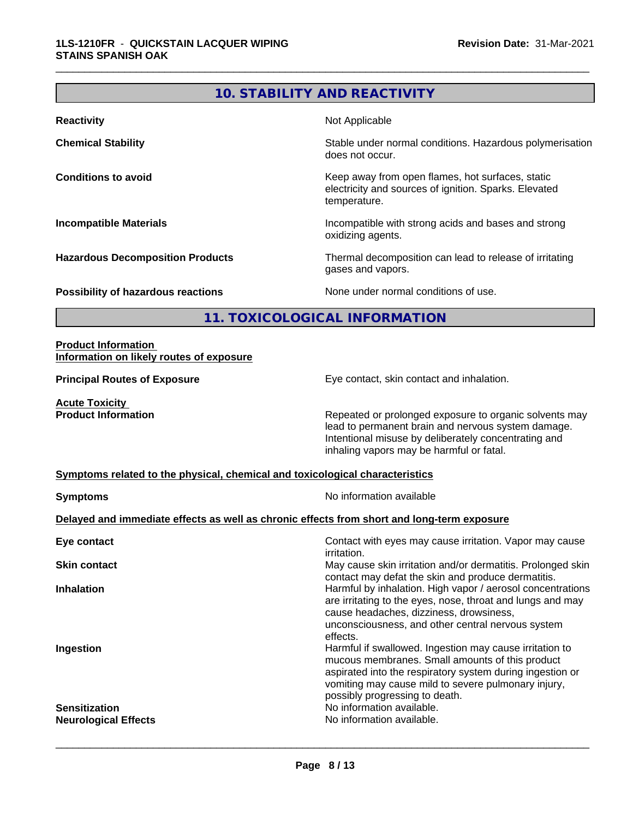### **10. STABILITY AND REACTIVITY**

\_\_\_\_\_\_\_\_\_\_\_\_\_\_\_\_\_\_\_\_\_\_\_\_\_\_\_\_\_\_\_\_\_\_\_\_\_\_\_\_\_\_\_\_\_\_\_\_\_\_\_\_\_\_\_\_\_\_\_\_\_\_\_\_\_\_\_\_\_\_\_\_\_\_\_\_\_\_\_\_\_\_\_\_\_\_\_\_\_\_\_\_\_

| <b>Reactivity</b>                         | Not Applicable                                                                                                            |
|-------------------------------------------|---------------------------------------------------------------------------------------------------------------------------|
| <b>Chemical Stability</b>                 | Stable under normal conditions. Hazardous polymerisation<br>does not occur.                                               |
| <b>Conditions to avoid</b>                | Keep away from open flames, hot surfaces, static<br>electricity and sources of ignition. Sparks. Elevated<br>temperature. |
| <b>Incompatible Materials</b>             | Incompatible with strong acids and bases and strong<br>oxidizing agents.                                                  |
| <b>Hazardous Decomposition Products</b>   | Thermal decomposition can lead to release of irritating<br>gases and vapors.                                              |
| <b>Possibility of hazardous reactions</b> | None under normal conditions of use.                                                                                      |

**11. TOXICOLOGICAL INFORMATION**

#### **Product Information Information on likely routes of exposure**

**Principal Routes of Exposure** Eye contact, skin contact and inhalation.

**Acute Toxicity<br>Product Information** 

Repeated or prolonged exposure to organic solvents may lead to permanent brain and nervous system damage. Intentional misuse by deliberately concentrating and inhaling vapors may be harmful or fatal.

#### **Symptoms related to the physical,chemical and toxicological characteristics**

| <b>Symptoms</b>                                                                            | No information available                                                                                                                                                                                                                                         |  |  |  |
|--------------------------------------------------------------------------------------------|------------------------------------------------------------------------------------------------------------------------------------------------------------------------------------------------------------------------------------------------------------------|--|--|--|
| Delayed and immediate effects as well as chronic effects from short and long-term exposure |                                                                                                                                                                                                                                                                  |  |  |  |
| Eye contact                                                                                | Contact with eyes may cause irritation. Vapor may cause<br><i>irritation.</i>                                                                                                                                                                                    |  |  |  |
| <b>Skin contact</b>                                                                        | May cause skin irritation and/or dermatitis. Prolonged skin<br>contact may defat the skin and produce dermatitis.                                                                                                                                                |  |  |  |
| <b>Inhalation</b>                                                                          | Harmful by inhalation. High vapor / aerosol concentrations<br>are irritating to the eyes, nose, throat and lungs and may<br>cause headaches, dizziness, drowsiness,<br>unconsciousness, and other central nervous system<br>effects.                             |  |  |  |
| Ingestion                                                                                  | Harmful if swallowed. Ingestion may cause irritation to<br>mucous membranes. Small amounts of this product<br>aspirated into the respiratory system during ingestion or<br>vomiting may cause mild to severe pulmonary injury,<br>possibly progressing to death. |  |  |  |
| <b>Sensitization</b>                                                                       | No information available.                                                                                                                                                                                                                                        |  |  |  |
| <b>Neurological Effects</b>                                                                | No information available.                                                                                                                                                                                                                                        |  |  |  |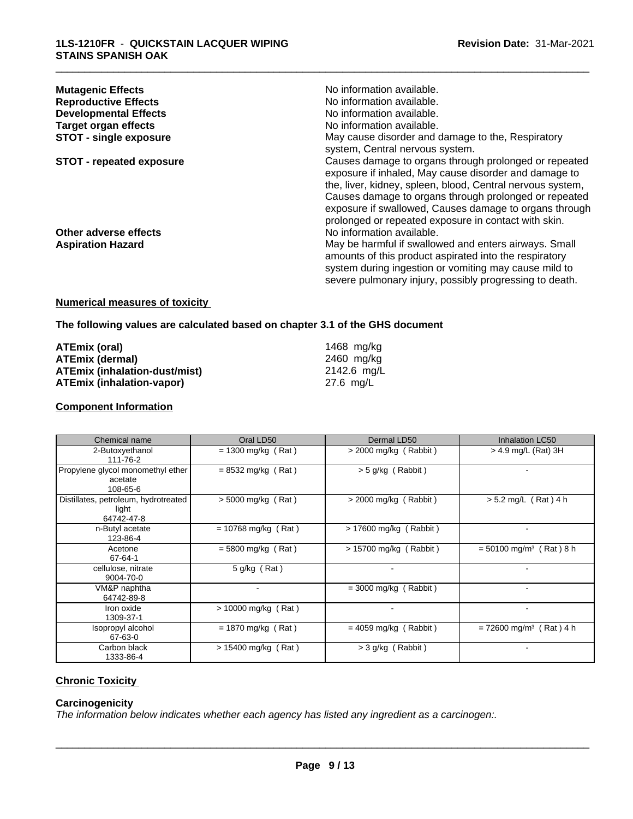| <b>Mutagenic Effects</b>        | No information available.                                                                                      |
|---------------------------------|----------------------------------------------------------------------------------------------------------------|
| <b>Reproductive Effects</b>     | No information available.                                                                                      |
| <b>Developmental Effects</b>    | No information available.                                                                                      |
| <b>Target organ effects</b>     | No information available.                                                                                      |
| <b>STOT - single exposure</b>   | May cause disorder and damage to the, Respiratory                                                              |
|                                 | system, Central nervous system.                                                                                |
| <b>STOT - repeated exposure</b> | Causes damage to organs through prolonged or repeated<br>exposure if inhaled, May cause disorder and damage to |
|                                 | the, liver, kidney, spleen, blood, Central nervous system,                                                     |
|                                 | Causes damage to organs through prolonged or repeated                                                          |
|                                 | exposure if swallowed, Causes damage to organs through                                                         |
|                                 | prolonged or repeated exposure in contact with skin.                                                           |
| Other adverse effects           | No information available.                                                                                      |
| <b>Aspiration Hazard</b>        | May be harmful if swallowed and enters airways. Small                                                          |
|                                 | amounts of this product aspirated into the respiratory                                                         |
|                                 | system during ingestion or vomiting may cause mild to                                                          |
|                                 | severe pulmonary injury, possibly progressing to death.                                                        |
|                                 |                                                                                                                |

### **Numerical measures of toxicity**

**The following values are calculated based on chapter 3.1 of the GHS document**

| ATEmix (oral)                        | 1468 ma/ka  |
|--------------------------------------|-------------|
| <b>ATEmix (dermal)</b>               | 2460 ma/ka  |
| <b>ATEmix (inhalation-dust/mist)</b> | 2142.6 ma/L |
| <b>ATEmix (inhalation-vapor)</b>     | 27.6 ma/L   |

#### **Component Information**

| Chemical name                                               | Oral LD50             | Dermal LD50             | Inhalation LC50                       |
|-------------------------------------------------------------|-----------------------|-------------------------|---------------------------------------|
| 2-Butoxyethanol<br>111-76-2                                 | $= 1300$ mg/kg (Rat)  | $>$ 2000 mg/kg (Rabbit) | $>$ 4.9 mg/L (Rat) 3H                 |
| Propylene glycol monomethyl ether<br>acetate<br>108-65-6    | $= 8532$ mg/kg (Rat)  | $> 5$ g/kg (Rabbit)     |                                       |
| Distillates, petroleum, hydrotreated<br>light<br>64742-47-8 | $> 5000$ mg/kg (Rat)  | $>$ 2000 mg/kg (Rabbit) | $> 5.2$ mg/L (Rat) 4 h                |
| n-Butyl acetate<br>123-86-4                                 | $= 10768$ mg/kg (Rat) | > 17600 mg/kg (Rabbit)  |                                       |
| Acetone<br>67-64-1                                          | $= 5800$ mg/kg (Rat)  | > 15700 mg/kg (Rabbit)  | $= 50100$ mg/m <sup>3</sup> (Rat) 8 h |
| cellulose, nitrate<br>9004-70-0                             | 5 g/kg (Rat)          |                         |                                       |
| VM&P naphtha<br>64742-89-8                                  |                       | $=$ 3000 mg/kg (Rabbit) |                                       |
| Iron oxide<br>1309-37-1                                     | > 10000 mg/kg (Rat)   |                         |                                       |
| Isopropyl alcohol<br>67-63-0                                | $= 1870$ mg/kg (Rat)  | $= 4059$ mg/kg (Rabbit) | $= 72600$ mg/m <sup>3</sup> (Rat) 4 h |
| Carbon black<br>1333-86-4                                   | $> 15400$ mg/kg (Rat) | > 3 g/kg (Rabbit)       |                                       |

#### **Chronic Toxicity**

#### **Carcinogenicity**

*The information below indicateswhether each agency has listed any ingredient as a carcinogen:.*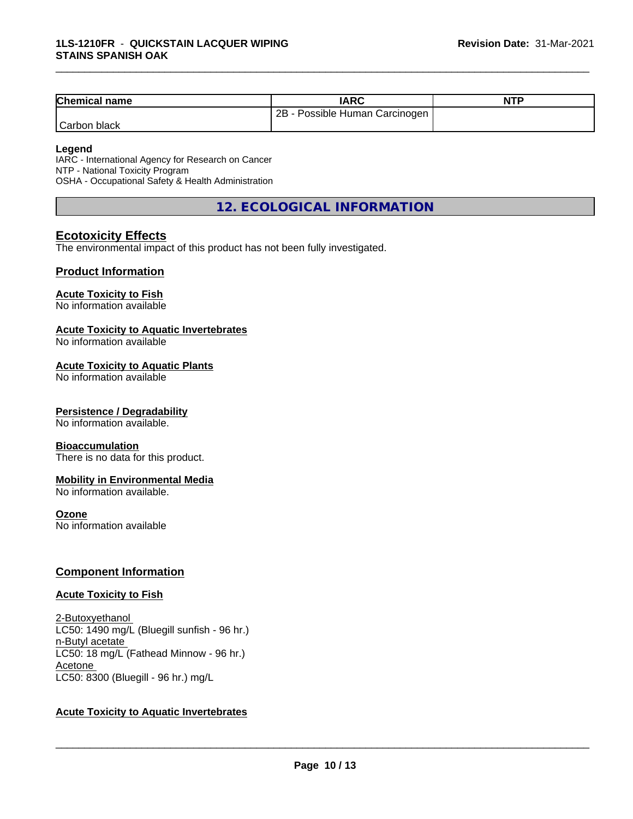| <b>Chemical name</b> | IARC                                | <b>NTP</b> |
|----------------------|-------------------------------------|------------|
|                      | Possible Human Carcinogen<br>$2B -$ |            |
| Carbon black         |                                     |            |

#### **Legend**

IARC - International Agency for Research on Cancer NTP - National Toxicity Program OSHA - Occupational Safety & Health Administration

**12. ECOLOGICAL INFORMATION**

#### **Ecotoxicity Effects**

The environmental impact of this product has not been fully investigated.

#### **Product Information**

#### **Acute Toxicity to Fish**

No information available

#### **Acute Toxicity to Aquatic Invertebrates**

No information available

#### **Acute Toxicity to Aquatic Plants**

No information available

#### **Persistence / Degradability**

No information available.

#### **Bioaccumulation**

There is no data for this product.

#### **Mobility in Environmental Media**

No information available.

#### **Ozone**

No information available

#### **Component Information**

#### **Acute Toxicity to Fish**

2-Butoxyethanol LC50: 1490 mg/L (Bluegill sunfish - 96 hr.) n-Butyl acetate LC50: 18 mg/L (Fathead Minnow - 96 hr.) Acetone LC50: 8300 (Bluegill - 96 hr.) mg/L

#### **Acute Toxicity to Aquatic Invertebrates**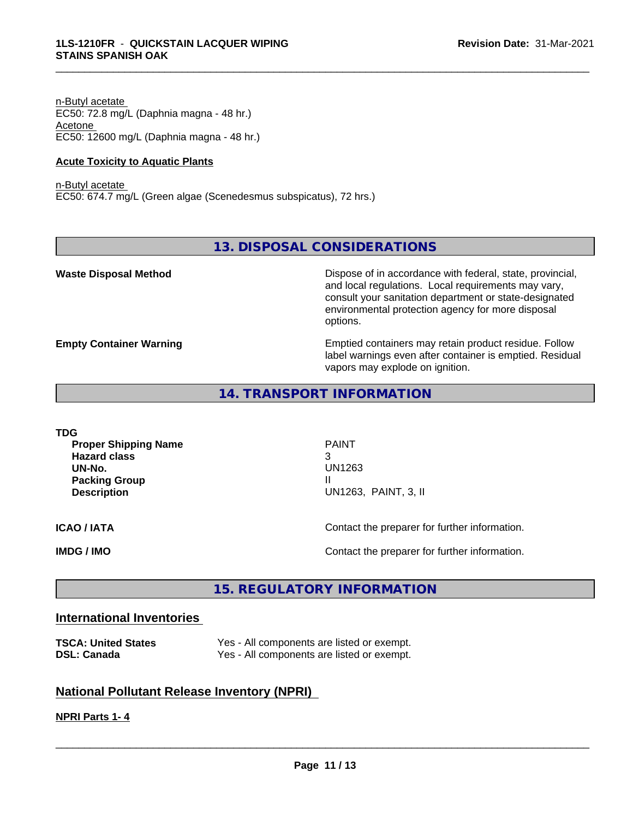n-Butyl acetate EC50: 72.8 mg/L (Daphnia magna - 48 hr.) Acetone EC50: 12600 mg/L (Daphnia magna - 48 hr.)

#### **Acute Toxicity to Aquatic Plants**

n-Butyl acetate EC50: 674.7 mg/L (Green algae (Scenedesmus subspicatus), 72 hrs.)

#### **13. DISPOSAL CONSIDERATIONS**

\_\_\_\_\_\_\_\_\_\_\_\_\_\_\_\_\_\_\_\_\_\_\_\_\_\_\_\_\_\_\_\_\_\_\_\_\_\_\_\_\_\_\_\_\_\_\_\_\_\_\_\_\_\_\_\_\_\_\_\_\_\_\_\_\_\_\_\_\_\_\_\_\_\_\_\_\_\_\_\_\_\_\_\_\_\_\_\_\_\_\_\_\_

**Waste Disposal Method Dispose of in accordance with federal, state, provincial,** and local regulations. Local requirements may vary, consult your sanitation department or state-designated environmental protection agency for more disposal options.

**Empty Container Warning <b>Emptied** Containers may retain product residue. Follow label warnings even after container is emptied. Residual vapors may explode on ignition.

#### **14. TRANSPORT INFORMATION**

**TDG Proper Shipping Name** PAINT **Hazard class** 3 **UN-No.** UN1263 **Packing Group III Description** UN1263, PAINT, 3, II **ICAO / IATA** Contact the preparer for further information. **IMDG / IMO Contact the preparer for further information.** 

#### **15. REGULATORY INFORMATION**

#### **International Inventories**

| <b>TSCA: United States</b> |  |
|----------------------------|--|
| <b>DSL: Canada</b>         |  |

Yes - All components are listed or exempt. Yes - All components are listed or exempt.

#### **National Pollutant Release Inventory (NPRI)**

#### **NPRI Parts 1- 4**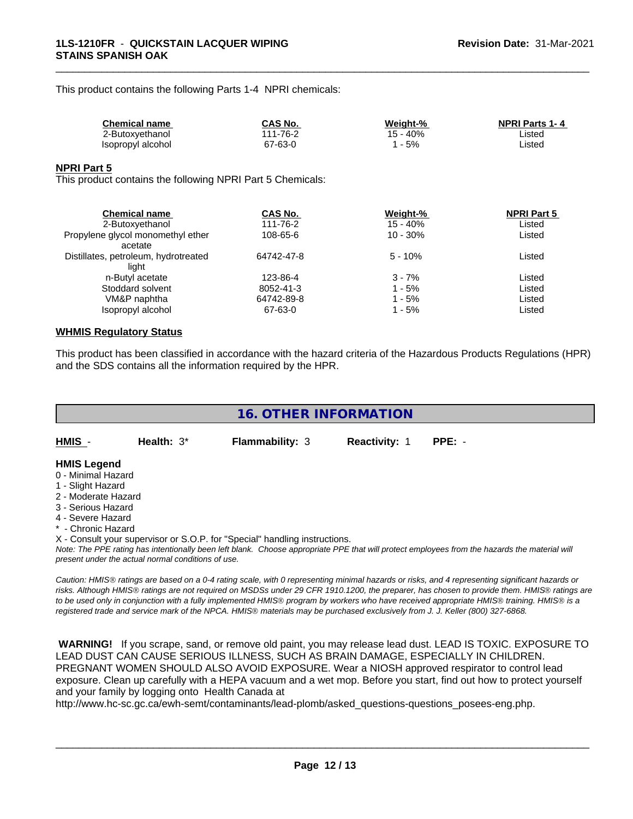This product contains the following Parts 1-4 NPRI chemicals:

| <b>Chemical name</b> | CAS No.     | Weight-% | <b>NPRI Parts 1-4</b> |
|----------------------|-------------|----------|-----------------------|
| 2-Butoxvethanol      | 1-76-2<br>. | 40%      | Listed                |
| Isopropyl alcohol    | 67-63-0     | 5%       | ∟isted                |

\_\_\_\_\_\_\_\_\_\_\_\_\_\_\_\_\_\_\_\_\_\_\_\_\_\_\_\_\_\_\_\_\_\_\_\_\_\_\_\_\_\_\_\_\_\_\_\_\_\_\_\_\_\_\_\_\_\_\_\_\_\_\_\_\_\_\_\_\_\_\_\_\_\_\_\_\_\_\_\_\_\_\_\_\_\_\_\_\_\_\_\_\_

#### **NPRI Part 5**

This product contains the following NPRI Part 5 Chemicals:

| <b>Chemical name</b>                 | CAS No.    | Weight-%   | <b>NPRI Part 5</b> |  |
|--------------------------------------|------------|------------|--------------------|--|
| 2-Butoxyethanol                      | 111-76-2   | 15 - 40%   | Listed             |  |
| Propylene glycol monomethyl ether    | 108-65-6   | $10 - 30%$ | Listed             |  |
| acetate                              |            |            |                    |  |
| Distillates, petroleum, hydrotreated | 64742-47-8 | $5 - 10%$  | Listed             |  |
| liaht                                |            |            |                    |  |
| n-Butyl acetate                      | 123-86-4   | $3 - 7%$   | Listed             |  |
| Stoddard solvent                     | 8052-41-3  | 1 - 5%     | Listed             |  |
| VM&P naphtha                         | 64742-89-8 | 1 - 5%     | Listed             |  |
| Isopropyl alcohol                    | 67-63-0    | 1 - 5%     | Listed             |  |
|                                      |            |            |                    |  |

#### **WHMIS Regulatory Status**

This product has been classified in accordance with the hazard criteria of the Hazardous Products Regulations (HPR) and the SDS contains all the information required by the HPR.

#### **16. OTHER INFORMATION**

| HMIS<br>Health: $3^*$ | <b>Flammability: 3</b> | <b>Reactivity: 1</b> | PPE: - |  |
|-----------------------|------------------------|----------------------|--------|--|
|-----------------------|------------------------|----------------------|--------|--|

#### **HMIS Legend**

- 0 Minimal Hazard
- 1 Slight Hazard
- 2 Moderate Hazard
- 3 Serious Hazard
- 4 Severe Hazard
- \* Chronic Hazard
- X Consult your supervisor or S.O.P. for "Special" handling instructions.

*Note: The PPE rating has intentionally been left blank. Choose appropriate PPE that will protect employees from the hazards the material will present under the actual normal conditions of use.*

*Caution: HMISÒ ratings are based on a 0-4 rating scale, with 0 representing minimal hazards or risks, and 4 representing significant hazards or risks. Although HMISÒ ratings are not required on MSDSs under 29 CFR 1910.1200, the preparer, has chosen to provide them. HMISÒ ratings are to be used only in conjunction with a fully implemented HMISÒ program by workers who have received appropriate HMISÒ training. HMISÒ is a registered trade and service mark of the NPCA. HMISÒ materials may be purchased exclusively from J. J. Keller (800) 327-6868.*

 **WARNING!** If you scrape, sand, or remove old paint, you may release lead dust. LEAD IS TOXIC. EXPOSURE TO LEAD DUST CAN CAUSE SERIOUS ILLNESS, SUCH AS BRAIN DAMAGE, ESPECIALLY IN CHILDREN. PREGNANT WOMEN SHOULD ALSO AVOID EXPOSURE.Wear a NIOSH approved respirator to control lead exposure. Clean up carefully with a HEPA vacuum and a wet mop. Before you start, find out how to protect yourself and your family by logging onto Health Canada at

http://www.hc-sc.gc.ca/ewh-semt/contaminants/lead-plomb/asked\_questions-questions\_posees-eng.php.